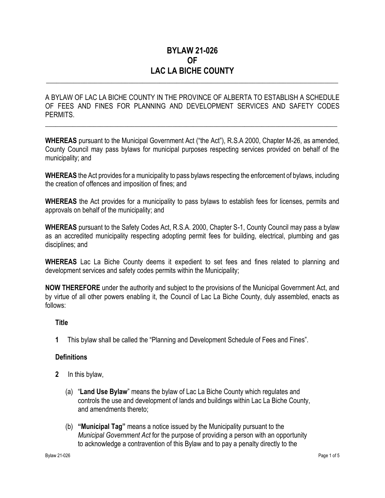## **BYLAW 21-026 OF LAC LA BICHE COUNTY**

\_\_\_\_\_\_\_\_\_\_\_\_\_\_\_\_\_\_\_\_\_\_\_\_\_\_\_\_\_\_\_\_\_\_\_\_\_\_\_\_\_\_\_\_\_\_\_\_\_\_\_\_\_\_\_\_\_\_\_\_\_\_\_\_\_\_\_\_\_\_\_\_\_\_\_\_\_\_\_\_\_\_\_\_\_

A BYLAW OF LAC LA BICHE COUNTY IN THE PROVINCE OF ALBERTA TO ESTABLISH A SCHEDULE OF FEES AND FINES FOR PLANNING AND DEVELOPMENT SERVICES AND SAFETY CODES PERMITS.

 $\_$  , and the set of the set of the set of the set of the set of the set of the set of the set of the set of the set of the set of the set of the set of the set of the set of the set of the set of the set of the set of th

**WHEREAS** pursuant to the Municipal Government Act ("the Act"), R.S.A 2000, Chapter M-26, as amended, County Council may pass bylaws for municipal purposes respecting services provided on behalf of the municipality; and

**WHEREAS** the Act provides for a municipality to pass bylaws respecting the enforcement of bylaws, including the creation of offences and imposition of fines; and

**WHEREAS** the Act provides for a municipality to pass bylaws to establish fees for licenses, permits and approvals on behalf of the municipality; and

**WHEREAS** pursuant to the Safety Codes Act, R.S.A. 2000, Chapter S-1, County Council may pass a bylaw as an accredited municipality respecting adopting permit fees for building, electrical, plumbing and gas disciplines; and

**WHEREAS** Lac La Biche County deems it expedient to set fees and fines related to planning and development services and safety codes permits within the Municipality;

**NOW THEREFORE** under the authority and subject to the provisions of the Municipal Government Act, and by virtue of all other powers enabling it, the Council of Lac La Biche County, duly assembled, enacts as follows:

## **Title**

**1** This bylaw shall be called the "Planning and Development Schedule of Fees and Fines".

### **Definitions**

- **2** In this bylaw,
	- (a) "**Land Use Bylaw**" means the bylaw of Lac La Biche County which regulates and controls the use and development of lands and buildings within Lac La Biche County, and amendments thereto;
	- (b) **"Municipal Tag"** means a notice issued by the Municipality pursuant to the *Municipal Government Act* for the purpose of providing a person with an opportunity to acknowledge a contravention of this Bylaw and to pay a penalty directly to the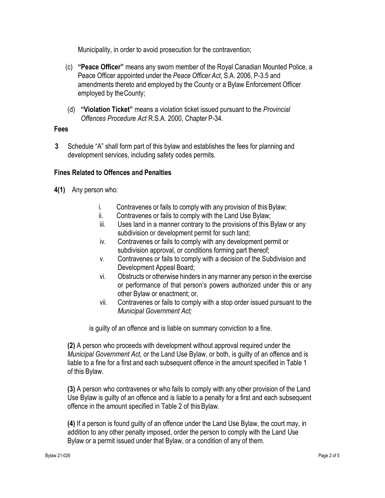Municipality, in order to avoid prosecution for the contravention;

- (c) **"Peace Officer"** means any sworn member of the Royal Canadian Mounted Police, a Peace Officer appointed under the *Peace Officer Act*, S.A. 2006, P-3.5 and amendments thereto and employed by the County or a Bylaw Enforcement Officer employed by theCounty;
- (d) **"Violation Ticket"** means a violation ticket issued pursuant to the *Provincial Offences Procedure Act* R.S.A. 2000, Chapter P-34.

## **Fees**

**3** Schedule "A" shall form part of this bylaw and establishes the fees for planning and development services, including safety codes permits.

## **Fines Related to Offences and Penalties**

- **4(1)** Any person who:
	- i. Contravenes or fails to comply with any provision of this Bylaw;
	- ii. Contravenes or fails to comply with the Land Use Bylaw;
	- iii. Uses land in a manner contrary to the provisions of this Bylaw or any subdivision or development permit for such land;
	- iv. Contravenes or fails to comply with any development permit or subdivision approval, or conditions forming part thereof;
	- v. Contravenes or fails to comply with a decision of the Subdivision and Development Appeal Board;
	- vi. Obstructs or otherwise hinders in any manner any person in the exercise or performance of that person's powers authorized under this or any other Bylaw or enactment; or,
	- vii. Contravenes or fails to comply with a stop order issued pursuant to the *Municipal Government Act;*

is guilty of an offence and is liable on summary conviction to a fine.

**(2)** A person who proceeds with development without approval required under the *Municipal Government Act,* or the Land Use Bylaw, or both, is guilty of an offence and is liable to a fine for a first and each subsequent offence in the amount specified in Table 1 of this Bylaw.

**(3)** A person who contravenes or who fails to comply with any other provision of the Land Use Bylaw is guilty of an offence and is liable to a penalty for a first and each subsequent offence in the amount specified in Table 2 of thisBylaw.

**(4)** If a person is found guilty of an offence under the Land Use Bylaw, the court may, in addition to any other penalty imposed, order the person to comply with the Land Use Bylaw or a permit issued under that Bylaw, or a condition of any of them.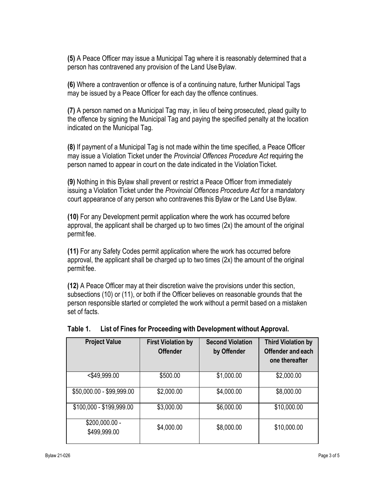**(5)** A Peace Officer may issue a Municipal Tag where it is reasonably determined that a person has contravened any provision of the Land UseBylaw.

**(6)** Where a contravention or offence is of a continuing nature, further Municipal Tags may be issued by a Peace Officer for each day the offence continues.

**(7)** A person named on a Municipal Tag may, in lieu of being prosecuted, plead guilty to the offence by signing the Municipal Tag and paying the specified penalty at the location indicated on the Municipal Tag.

**(8)** If payment of a Municipal Tag is not made within the time specified, a Peace Officer may issue a Violation Ticket under the *Provincial Offences Procedure Act* requiring the person named to appear in court on the date indicated in the ViolationTicket.

**(9)** Nothing in this Bylaw shall prevent or restrict a Peace Officer from immediately issuing a Violation Ticket under the *Provincial Offences Procedure Act* for a mandatory court appearance of any person who contravenes this Bylaw or the Land Use Bylaw.

**(10)** For any Development permit application where the work has occurred before approval, the applicant shall be charged up to two times (2x) the amount of the original permit fee.

**(11)** For any Safety Codes permit application where the work has occurred before approval, the applicant shall be charged up to two times (2x) the amount of the original permit fee.

**(12)** A Peace Officer may at their discretion waive the provisions under this section, subsections (10) or (11), or both if the Officer believes on reasonable grounds that the person responsible started or completed the work without a permit based on a mistaken set of facts.

| <b>Project Value</b>            | <b>First Violation by</b><br><b>Offender</b> | <b>Second Violation</b><br>by Offender | <b>Third Violation by</b><br>Offender and each<br>one thereafter |
|---------------------------------|----------------------------------------------|----------------------------------------|------------------------------------------------------------------|
| $<$ \$49,999.00                 | \$500.00                                     | \$1,000.00                             | \$2,000.00                                                       |
| \$50,000.00 - \$99,999.00       | \$2,000.00                                   | \$4,000.00                             | \$8,000.00                                                       |
| \$100,000 - \$199,999.00        | \$3,000.00                                   | \$6,000.00                             | \$10,000.00                                                      |
| $$200,000.00 -$<br>\$499,999.00 | \$4,000.00                                   | \$8,000.00                             | \$10,000.00                                                      |

| Table 1. | List of Fines for Proceeding with Development without Approval. |  |
|----------|-----------------------------------------------------------------|--|
|          |                                                                 |  |
|          |                                                                 |  |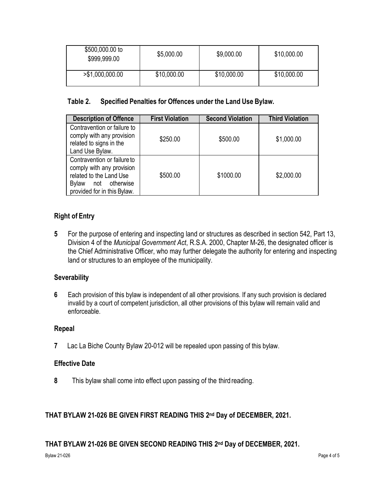| \$500,000.00 to<br>\$999,999.00 | \$5,000.00  | \$9,000.00  | \$10,000.00 |
|---------------------------------|-------------|-------------|-------------|
| >\$1,000,000.00                 | \$10,000.00 | \$10,000.00 | \$10,000.00 |

## **Table 2. Specified Penalties for Offences under the Land Use Bylaw.**

| <b>Description of Offence</b>                                                                                                                       | <b>First Violation</b> | <b>Second Violation</b> | <b>Third Violation</b> |
|-----------------------------------------------------------------------------------------------------------------------------------------------------|------------------------|-------------------------|------------------------|
| Contravention or failure to<br>comply with any provision<br>related to signs in the<br>Land Use Bylaw.                                              | \$250.00               | \$500.00                | \$1,000.00             |
| Contravention or failure to<br>comply with any provision<br>related to the Land Use<br>not otherwise<br><b>Bylaw</b><br>provided for in this Bylaw. | \$500.00               | \$1000.00               | \$2,000.00             |

## **Right of Entry**

**5** For the purpose of entering and inspecting land or structures as described in section 542, Part 13, Division 4 of the *Municipal Government Act*, R.S.A. 2000, Chapter M-26, the designated officer is the Chief Administrative Officer, who may further delegate the authority for entering and inspecting land or structures to an employee of the municipality.

## **Severability**

**6** Each provision of this bylaw is independent of all other provisions. If any such provision is declared invalid by a court of competent jurisdiction, all other provisions of this bylaw will remain valid and enforceable.

### **Repeal**

**7** Lac La Biche County Bylaw 20-012 will be repealed upon passing of this bylaw.

## **Effective Date**

**8** This bylaw shall come into effect upon passing of the third reading.

## **THAT BYLAW 21-026 BE GIVEN FIRST READING THIS 2 nd Day of DECEMBER, 2021.**

## **THAT BYLAW 21-026 BE GIVEN SECOND READING THIS 2 nd Day of DECEMBER, 2021.**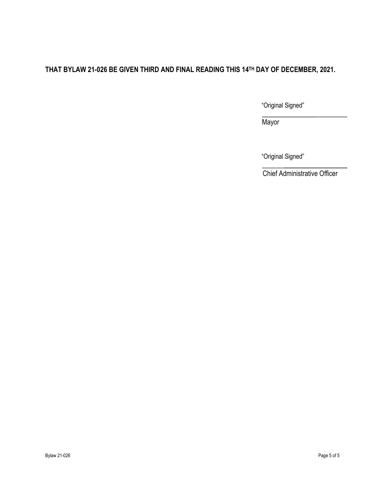## **THAT BYLAW 21-026 BE GIVEN THIRD AND FINAL READING THIS 14TH DAY OF DECEMBER, 2021.**

"Original Signed"

Mayor

"Original Signed"

Chief Administrative Officer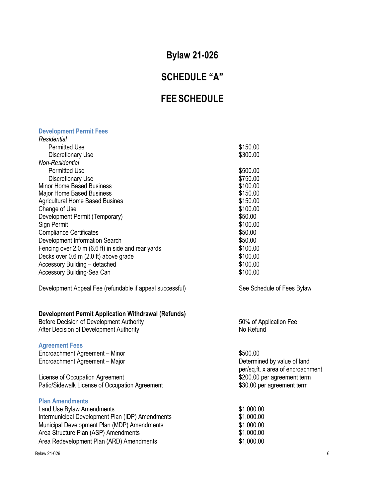# **Bylaw 21-026**

# **SCHEDULE "A"**

# **FEE SCHEDULE**

#### **Development Permit Fees**

| Residential                                              |                            |
|----------------------------------------------------------|----------------------------|
| <b>Permitted Use</b>                                     | \$150.00                   |
| Discretionary Use                                        | \$300.00                   |
| Non-Residential                                          |                            |
| <b>Permitted Use</b>                                     | \$500.00                   |
| Discretionary Use                                        | \$750.00                   |
| Minor Home Based Business                                | \$100.00                   |
| Major Home Based Business                                | \$150.00                   |
| <b>Agricultural Home Based Busines</b>                   | \$150.00                   |
| Change of Use                                            | \$100.00                   |
| Development Permit (Temporary)                           | \$50.00                    |
| Sign Permit                                              | \$100.00                   |
| <b>Compliance Certificates</b>                           | \$50.00                    |
| Development Information Search                           | \$50.00                    |
| Fencing over 2.0 m (6.6 ft) in side and rear yards       | \$100.00                   |
| Decks over 0.6 m (2.0 ft) above grade                    | \$100.00                   |
| Accessory Building - detached                            | \$100.00                   |
| Accessory Building-Sea Can                               | \$100.00                   |
| Development Appeal Fee (refundable if appeal successful) | See Schedule of Fees Bylaw |

# **Development Permit Application Withdrawal (Refunds)**

Before Decision of Development Authority After Decision of Development Authority

#### **Agreement Fees**

Encroachment Agreement – Minor<br>
Encroachment Agreement – Major<br>
Encroachment Agreement – Major<br>
Setermined by value of land Encroachment Agreement – Major

License of Occupation Agreement<br>
Patio/Sidewalk License of Occupation Agreement<br>
\$30.00 per agreement term Patio/Sidewalk License of Occupation Agreement

#### **Plan Amendments**

| Land Use Bylaw Amendments                        | \$1,000.00 |
|--------------------------------------------------|------------|
| Intermunicipal Development Plan (IDP) Amendments | \$1,000.00 |
| Municipal Development Plan (MDP) Amendments      | \$1,000.00 |
| Area Structure Plan (ASP) Amendments             | \$1,000.00 |
| Area Redevelopment Plan (ARD) Amendments         | \$1,000.00 |

Bylaw 21-026 6

50% of Application Fee No Refund

per/sq.ft. x area of encroachment<br>\$200.00 per agreement term

| \$1,000.00 |
|------------|
| \$1,000.00 |
| \$1,000.00 |
| \$1,000.00 |
| \$1.000.00 |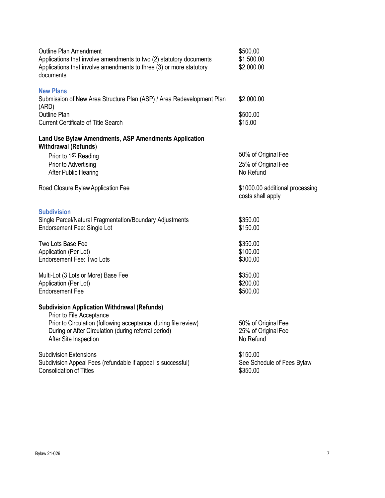| <b>Outline Plan Amendment</b><br>Applications that involve amendments to two (2) statutory documents<br>Applications that involve amendments to three (3) or more statutory<br>documents                                            | \$500.00<br>\$1,500.00<br>\$2,000.00                    |
|-------------------------------------------------------------------------------------------------------------------------------------------------------------------------------------------------------------------------------------|---------------------------------------------------------|
| <b>New Plans</b><br>Submission of New Area Structure Plan (ASP) / Area Redevelopment Plan<br>(ARD)                                                                                                                                  | \$2,000.00                                              |
| Outline Plan<br><b>Current Certificate of Title Search</b>                                                                                                                                                                          | \$500.00<br>\$15.00                                     |
| Land Use Bylaw Amendments, ASP Amendments Application<br><b>Withdrawal (Refunds)</b>                                                                                                                                                |                                                         |
| Prior to 1 <sup>st</sup> Reading<br>Prior to Advertising<br>After Public Hearing                                                                                                                                                    | 50% of Original Fee<br>25% of Original Fee<br>No Refund |
| Road Closure Bylaw Application Fee                                                                                                                                                                                                  | \$1000.00 additional processing<br>costs shall apply    |
| <b>Subdivision</b><br>Single Parcel/Natural Fragmentation/Boundary Adjustments<br>Endorsement Fee: Single Lot                                                                                                                       | \$350.00<br>\$150.00                                    |
| Two Lots Base Fee<br>Application (Per Lot)<br><b>Endorsement Fee: Two Lots</b>                                                                                                                                                      | \$350.00<br>\$100.00<br>\$300.00                        |
| Multi-Lot (3 Lots or More) Base Fee<br>Application (Per Lot)<br><b>Endorsement Fee</b>                                                                                                                                              | \$350.00<br>\$200.00<br>\$500.00                        |
| <b>Subdivision Application Withdrawal (Refunds)</b><br>Prior to File Acceptance<br>Prior to Circulation (following acceptance, during file review)<br>During or After Circulation (during referral period)<br>After Site Inspection | 50% of Original Fee<br>25% of Original Fee<br>No Refund |
| <b>Subdivision Extensions</b><br>Subdivision Appeal Fees (refundable if appeal is successful)<br><b>Consolidation of Titles</b>                                                                                                     | \$150.00<br>See Schedule of Fees Bylaw<br>\$350.00      |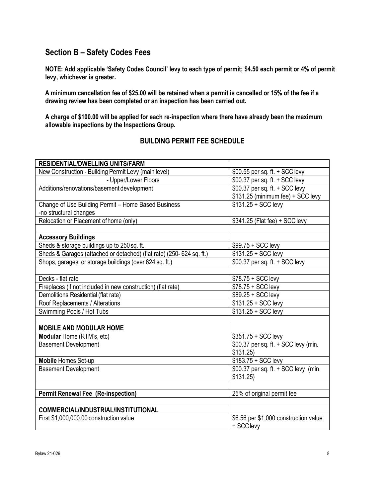## **Section B – Safety Codes Fees**

**NOTE: Add applicable 'Safety Codes Council' levy to each type of permit; \$4.50 each permit or 4% of permit levy, whichever is greater.**

**A minimum cancellation fee of \$25.00 will be retained when a permit is cancelled or 15% of the fee if a drawing review has been completed or an inspection has been carried out.**

**A charge of \$100.00 will be applied for each re-inspection where there have already been the maximum allowable inspections by the Inspections Group.**

## **BUILDING PERMIT FEE SCHEDULE**

| <b>RESIDENTIAL/DWELLING UNITS/FARM</b>                               |                                                    |
|----------------------------------------------------------------------|----------------------------------------------------|
| New Construction - Building Permit Levy (main level)                 | $$00.55$ per sq. ft. $+$ SCC levy                  |
| - Upper/Lower Floors                                                 | \$00.37 per sq. ft. + SCC levy                     |
| Additions/renovations/basement development                           | \$00.37 per sq. ft. + SCC levy                     |
|                                                                      | \$131.25 (minimum fee) + SCC levy                  |
| Change of Use Building Permit - Home Based Business                  | $$131.25 + SCC$ levy                               |
| -no structural changes                                               |                                                    |
| Relocation or Placement of home (only)                               | \$341.25 (Flat fee) + SCC levy                     |
|                                                                      |                                                    |
| <b>Accessory Buildings</b>                                           |                                                    |
| Sheds & storage buildings up to 250 sq. ft.                          | $$99.75 + SCC$ levy                                |
| Sheds & Garages (attached or detached) (flat rate) (250-624 sq. ft.) | $$131.25 + SCC$ levy                               |
| Shops, garages, or storage buildings (over 624 sq. ft.)              | \$00.37 per sq. ft. + SCC levy                     |
|                                                                      |                                                    |
| Decks - flat rate                                                    | $$78.75 + SCC$ levy                                |
| Fireplaces (if not included in new construction) (flat rate)         | $$78.75 + SCC$ levy                                |
| Demolitions Residential (flat rate)                                  | \$89.25 + SCC levy                                 |
| Roof Replacements / Alterations                                      | $$131.25 + SCC$ levy                               |
| Swimming Pools / Hot Tubs                                            | $$131.25 + SCC$ levy                               |
|                                                                      |                                                    |
| <b>MOBILE AND MODULAR HOME</b>                                       |                                                    |
| Modular Home (RTM's, etc)                                            | $$351.75 + SCC$ levy                               |
| <b>Basement Development</b>                                          | \$00.37 per sq. ft. + SCC levy (min.               |
|                                                                      | \$131.25                                           |
| <b>Mobile Homes Set-up</b>                                           | $$183.75 + SCC$ levy                               |
| <b>Basement Development</b>                                          | \$00.37 per sq. ft. + SCC levy (min.               |
|                                                                      | \$131.25                                           |
|                                                                      |                                                    |
| <b>Permit Renewal Fee (Re-inspection)</b>                            | 25% of original permit fee                         |
|                                                                      |                                                    |
| COMMERCIAL/INDUSTRIAL/INSTITUTIONAL                                  |                                                    |
| First \$1,000,000.00 construction value                              | \$6.56 per \$1,000 construction value<br>+ SCClevy |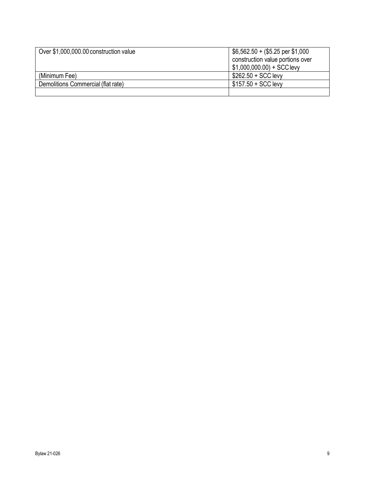| Over \$1,000,000.00 construction value | $$6,562.50 + ($5.25 \text{ per } $1,000$<br>construction value portions over<br>$$1,000,000.00$ + SCC levy |
|----------------------------------------|------------------------------------------------------------------------------------------------------------|
| (Minimum Fee)                          | $$262.50 + SCC$ levy                                                                                       |
| Demolitions Commercial (flat rate)     | $$157.50 + SCC$ levy                                                                                       |
|                                        |                                                                                                            |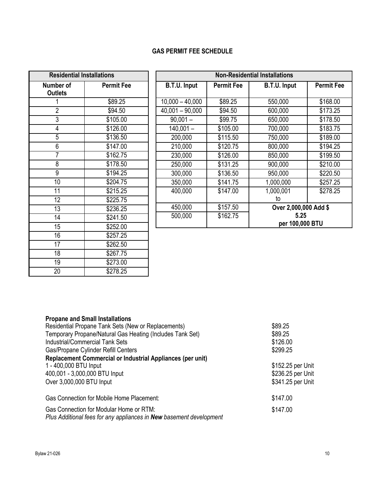## **GAS PERMIT FEE SCHEDULE**

| <b>Residential Installations</b> |                      |  |
|----------------------------------|----------------------|--|
| Number of<br><b>Outlets</b>      | <b>Permit Fee</b>    |  |
| 1                                | \$89.25              |  |
| $\overline{2}$                   | \$94.50              |  |
| $\overline{3}$                   | \$105.00             |  |
| 4                                | \$126.00             |  |
| 5                                | \$136.50             |  |
| 6                                | \$147.00             |  |
| 7                                | \$162.75             |  |
| 8                                | \$178.50             |  |
| 9                                | \$194.25             |  |
| $\overline{10}$                  | \$204.75             |  |
| $\overline{11}$                  | \$215.25             |  |
| $\overline{12}$                  | \$225.75             |  |
| $\overline{13}$                  | \$236.25             |  |
| $\overline{14}$                  | $\overline{$}241.50$ |  |
| 15                               | \$252.00             |  |
| 16                               | \$257.25             |  |
| $\overline{17}$                  | \$262.50             |  |
| 18                               | \$267.75             |  |
| 19                               | \$273.00             |  |
| 20                               | \$278.25             |  |

| <b>Non-Residential Installations</b> |                   |                       |                   |
|--------------------------------------|-------------------|-----------------------|-------------------|
| <b>B.T.U. Input</b>                  | <b>Permit Fee</b> | <b>B.T.U. Input</b>   | <b>Permit Fee</b> |
|                                      |                   |                       |                   |
| $10,000 - 40,000$                    | \$89.25           | 550,000               | \$168.00          |
| $40,001 - 90,000$                    | \$94.50           | 600,000               | \$173.25          |
| $90,001 -$                           | \$99.75           | 650,000               | \$178.50          |
| $140,001 -$                          | \$105.00          | 700,000               | \$183.75          |
| 200,000                              | \$115.50          | 750,000               | \$189.00          |
| 210,000                              | \$120.75          | 800,000               | \$194.25          |
| 230,000                              | \$126.00          | 850,000               | \$199.50          |
| 250,000                              | \$131.25          | 900,000               | \$210.00          |
| 300,000                              | \$136.50          | 950,000               | \$220.50          |
| 350,000                              | \$141.75          | 1,000,000             | \$257.25          |
| 400,000                              | \$147.00          | 1,000,001             | \$278.25          |
|                                      |                   | to                    |                   |
| 450,000                              | \$157.50          | Over 2,000,000 Add \$ |                   |
| 500,000                              | \$162.75          | 5.25                  |                   |
|                                      |                   | per 100,000 BTU       |                   |

| <b>Propane and Small Installations</b>                              |                   |
|---------------------------------------------------------------------|-------------------|
| Residential Propane Tank Sets (New or Replacements)                 | \$89.25           |
| Temporary Propane/Natural Gas Heating (Includes Tank Set)           | \$89.25           |
| <b>Industrial/Commercial Tank Sets</b>                              | \$126.00          |
| Gas/Propane Cylinder Refill Centers                                 | \$299.25          |
| <b>Replacement Commercial or Industrial Appliances (per unit)</b>   |                   |
| 1 - 400,000 BTU Input                                               | \$152.25 per Unit |
| 400,001 - 3,000,000 BTU Input                                       | \$236.25 per Unit |
| Over 3,000,000 BTU Input                                            | \$341.25 per Unit |
| Gas Connection for Mobile Home Placement:                           | \$147.00          |
| Gas Connection for Modular Home or RTM:                             | \$147.00          |
| Plus Additional fees for any appliances in New basement development |                   |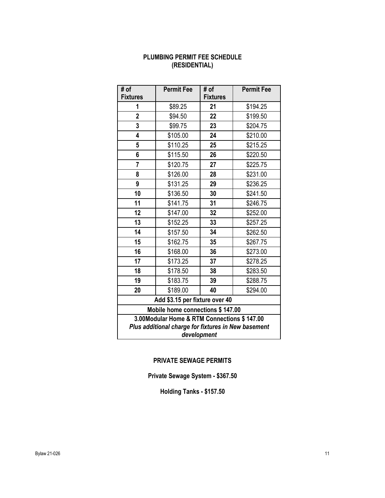## **PLUMBING PERMIT FEE SCHEDULE (RESIDENTIAL)**

| # of<br><b>Fixtures</b>                                                                                           | <b>Permit Fee</b>          | # of<br><b>Fixtures</b> | <b>Permit Fee</b> |  |  |
|-------------------------------------------------------------------------------------------------------------------|----------------------------|-------------------------|-------------------|--|--|
| 1                                                                                                                 | \$89.25                    | 21                      | \$194.25          |  |  |
| $\overline{2}$                                                                                                    | \$94.50                    | 22                      | \$199.50          |  |  |
| 3                                                                                                                 | \$99.75                    | 23                      | \$204.75          |  |  |
| 4                                                                                                                 | \$105.00                   | 24                      | \$210.00          |  |  |
| 5                                                                                                                 | \$110.25                   | 25                      | \$215.25          |  |  |
| 6                                                                                                                 | \$115.50                   | 26                      | \$220.50          |  |  |
| 7                                                                                                                 | \$120.75                   | 27                      | \$225.75          |  |  |
| 8                                                                                                                 | \$126.00                   | 28                      | \$231.00          |  |  |
| 9                                                                                                                 | \$131.25                   | 29                      | \$236.25          |  |  |
| 10                                                                                                                | \$136.50                   | 30                      | \$241.50          |  |  |
| 11                                                                                                                | \$141.75                   | 31                      | \$246.75          |  |  |
| 12                                                                                                                | \$147.00                   | 32                      | \$252.00          |  |  |
| 13                                                                                                                | \$152.25                   | 33                      | \$257.25          |  |  |
| 14                                                                                                                | \$157.50                   | 34                      | \$262.50          |  |  |
| 15                                                                                                                | \$162.75                   | 35                      | \$267.75          |  |  |
| 16                                                                                                                | \$168.00                   | 36                      | \$273.00          |  |  |
| 17                                                                                                                | \$173.25                   | 37                      | \$278.25          |  |  |
| 18                                                                                                                | \$178.50<br>38<br>\$283.50 |                         |                   |  |  |
| 19                                                                                                                | \$183.75                   | 39                      | \$288.75          |  |  |
| 20                                                                                                                | \$189.00                   | 40                      | \$294.00          |  |  |
| Add \$3.15 per fixture over 40                                                                                    |                            |                         |                   |  |  |
| Mobile home connections \$147.00                                                                                  |                            |                         |                   |  |  |
| 3.00Modular Home & RTM Connections \$147.00<br>Plus additional charge for fixtures in New basement<br>development |                            |                         |                   |  |  |

## **PRIVATE SEWAGE PERMITS**

**Private Sewage System - \$367.50** 

**Holding Tanks - \$157.50**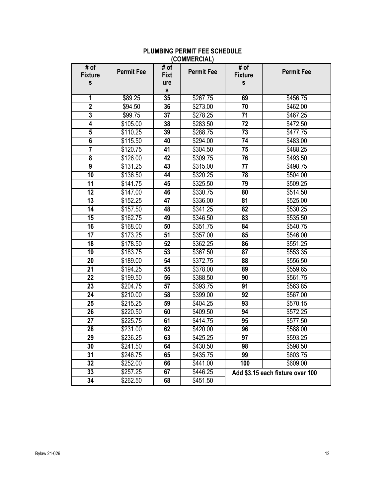| # of<br><b>Fixture</b><br>s | <b>Permit Fee</b> | # of<br><b>Fixt</b><br>ure | <b>Permit Fee</b> | # of<br><b>Fixture</b><br>s | <b>Permit Fee</b>                |
|-----------------------------|-------------------|----------------------------|-------------------|-----------------------------|----------------------------------|
| 1                           | \$89.25           | S<br>35                    | \$267.75          | 69                          | \$456.75                         |
| $\overline{2}$              | \$94.50           | 36                         | \$273.00          | 70                          | \$462.00                         |
| $\overline{\mathbf{3}}$     | \$99.75           | $\overline{37}$            | \$278.25          | $\overline{71}$             | \$467.25                         |
| $\overline{4}$              | \$105.00          | 38                         | \$283.50          | $\overline{72}$             | \$472.50                         |
| 5                           | \$110.25          | 39                         | \$288.75          | $\overline{73}$             | \$477.75                         |
| 6                           | \$115.50          | 40                         | \$294.00          | 74                          | \$483.00                         |
| $\overline{7}$              | \$120.75          | 41                         | \$304.50          | $\overline{75}$             | \$488.25                         |
| $\overline{\mathbf{8}}$     | \$126.00          | $\overline{42}$            | \$309.75          | 76                          | \$493.50                         |
| $\overline{9}$              | \$131.25          | $\overline{43}$            | \$315.00          | $\overline{77}$             | \$498.75                         |
| 10                          | \$136.50          | 44                         | \$320.25          | 78                          | \$504.00                         |
| 11                          | \$141.75          | 45                         | \$325.50          | 79                          | \$509.25                         |
| $\overline{12}$             | \$147.00          | 46                         | \$330.75          | 80                          | \$514.50                         |
| $\overline{13}$             | \$152.25          | $\overline{47}$            | \$336.00          | $\overline{81}$             | \$525.00                         |
| 14                          | \$157.50          | 48                         | \$341.25          | $\overline{82}$             | \$530.25                         |
| 15                          | \$162.75          | 49                         | \$346.50          | 83                          | \$535.50                         |
| 16                          | \$168.00          | 50                         | \$351.75          | $\overline{84}$             | \$540.75                         |
| $\overline{17}$             | \$173.25          | 51                         | \$357.00          | 85                          | \$546.00                         |
| $\overline{18}$             | \$178.50          | 52                         | \$362.25          | $\overline{86}$             | \$551.25                         |
| 19                          | \$183.75          | 53                         | \$367.50          | $\overline{87}$             | \$553.35                         |
| $\overline{20}$             | \$189.00          | $\overline{54}$            | \$372.75          | $\overline{88}$             | \$556.50                         |
| $\overline{21}$             | \$194.25          | $\overline{55}$            | \$378.00          | 89                          | \$559.65                         |
| $\overline{22}$             | \$199.50          | 56                         | \$388.50          | 90                          | \$561.75                         |
| $\overline{23}$             | \$204.75          | $\overline{57}$            | \$393.75          | $\overline{91}$             | \$563.85                         |
| $\overline{24}$             | \$210.00          | $\overline{58}$            | \$399.00          | 92                          | \$567.00                         |
| $\overline{25}$             | \$215.25          | 59                         | \$404.25          | $\overline{93}$             | \$570.15                         |
| 26                          | \$220.50          | 60                         | \$409.50          | 94                          | \$572.25                         |
| $\overline{27}$             | \$225.75          | 61                         | \$414.75          | 95                          | \$577.50                         |
| 28                          | \$231.00          | 62                         | \$420.00          | 96                          | \$588.00                         |
| 29                          | \$236.25          | 63                         | \$425.25          | $\overline{97}$             | \$593.25                         |
| $\overline{30}$             | \$241.50          | 64                         | \$430.50          | 98                          | \$598.50                         |
| $\overline{31}$             | \$246.75          | 65                         | \$435.75          | 99                          | \$603.75                         |
| $\overline{32}$             | \$252.00          | 66                         | \$441.00          | 100                         | \$609.00                         |
| 33                          | \$257.25          | 67                         | \$446.25          |                             | Add \$3.15 each fixture over 100 |
| $\overline{34}$             | \$262.50          | 68                         | \$451.50          |                             |                                  |

#### **PLUMBING PERMIT FEE SCHEDULE (COMMERCIAL)**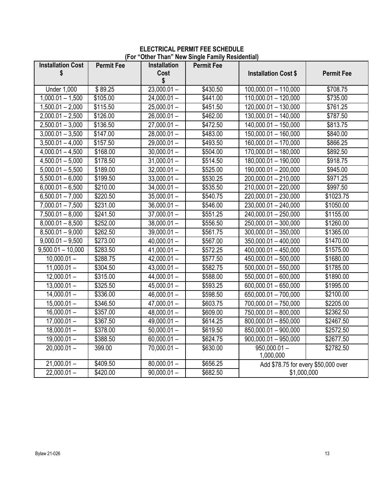#### **ELECTRICAL PERMIT FEE SCHEDULE (For "Other Than" New Single Family Residential)**

| <b>Installation Cost</b> | <b>Permit Fee</b> | Installation  | <b>Permit Fee</b> |                                     |                   |
|--------------------------|-------------------|---------------|-------------------|-------------------------------------|-------------------|
| \$                       |                   | Cost          |                   | <b>Installation Cost \$</b>         | <b>Permit Fee</b> |
|                          |                   | \$            |                   |                                     |                   |
| <b>Under 1,000</b>       | \$89.25           | $23,000.01 -$ | \$430.50          | $100,000.01 - 110,000$              | \$708.75          |
| $1,000.01 - 1,500$       | \$105.00          | $24,000.01 -$ | \$441.00          | $110,000.01 - 120,000$              | \$735.00          |
| $1,500.01 - 2,000$       | \$115.50          | $25,000.01 -$ | \$451.50          | $120,000.01 - 130,000$              | \$761.25          |
| $2,000.01 - 2,500$       | $\sqrt{$126.00}$  | $26,000.01 -$ | \$462.00          | 130,000.01 - 140,000                | \$787.50          |
| $2,500.01 - 3,000$       | \$136.50          | $27,000.01 -$ | \$472.50          | $140,000.01 - 150,000$              | \$813.75          |
| $3,000.01 - 3,500$       | \$147.00          | $28,000.01 -$ | \$483.00          | $150,000.01 - 160,000$              | \$840.00          |
| $3,500.01 - 4,000$       | \$157.50          | $29,000.01 -$ | \$493.50          | $160,000.01 - 170,000$              | \$866.25          |
| $4,000.01 - 4,500$       | \$168.00          | $30,000.01 -$ | \$504.00          | $170,000.01 - 180,000$              | \$892.50          |
| $4,500.01 - 5,000$       | \$178.50          | $31,000.01 -$ | \$514.50          | $180,000.01 - 190,000$              | \$918.75          |
| $5,000.01 - 5,500$       | \$189.00          | $32,000.01 -$ | \$525.00          | 190,000.01 - 200,000                | \$945.00          |
| $5,500.01 - 6,000$       | \$199.50          | $33,000.01 -$ | \$530.25          | 200,000.01 - 210,000                | \$971.25          |
| $6,000.01 - 6,500$       | \$210.00          | $34,000.01 -$ | \$535.50          | $210,000.01 - 220,000$              | \$997.50          |
| $6,500.01 - 7,000$       | \$220.50          | $35,000.01 -$ | \$540.75          | 220,000.01 - 230,000                | \$1023.75         |
| $7,000.01 - 7,500$       | \$231.00          | $36,000.01 -$ | \$546.00          | 230,000.01 - 240,000                | \$1050.00         |
| $7,500.01 - 8,000$       | \$241.50          | $37,000.01 -$ | \$551.25          | 240,000.01 - 250,000                | \$1155.00         |
| $8,000.01 - 8,500$       | \$252.00          | $38,000.01 -$ | \$556.50          | 250,000.01 - 300,000                | \$1260.00         |
| $8,500.01 - 9,000$       | \$262.50          | $39,000.01 -$ | \$561.75          | $300,000.01 - 350,000$              | \$1365.00         |
| $9,000.01 - 9,500$       | \$273.00          | $40,000.01 -$ | \$567.00          | $350,000.01 - 400,000$              | \$1470.00         |
| $9,500.01 - 10,000$      | \$283.50          | $41,000.01 -$ | \$572.25          | $400,000.01 - 450,000$              | \$1575.00         |
| $10,000.01 -$            | \$288.75          | $42,000.01 -$ | \$577.50          | $450,000.01 - 500,000$              | \$1680.00         |
| $11,000.01 -$            | \$304.50          | $43,000.01 -$ | \$582.75          | $500,000.01 - 550,000$              | \$1785.00         |
| $12,000.01 -$            | \$315.00          | $44,000.01 -$ | \$588.00          | 550,000.01 - 600,000                | \$1890.00         |
| $13,000.01 -$            | \$325.50          | $45,000.01 -$ | \$593.25          | 600,000.01 - 650,000                | \$1995.00         |
| $14,000.01 -$            | \$336.00          | $46,000.01 -$ | \$598.50          | 650,000.01 - 700,000                | \$2100.00         |
| $15,000.01 -$            | \$346.50          | $47,000.01 -$ | \$603.75          | $700,000.01 - 750,000$              | \$2205.00         |
| $16,000.01 -$            | \$357.00          | $48,000.01 -$ | \$609.00          | 750,000.01 - 800,000                | \$2362.50         |
| $17,000.01 -$            | \$367.50          | $49,000.01 -$ | \$614.25          | $800,000.01 - 850,000$              | \$2467.50         |
| $18,000.01 -$            | \$378.00          | $50,000.01 -$ | \$619.50          | 850,000.01 - 900,000                | \$2572.50         |
| $19,000.01 -$            | \$388.50          | $60,000.01 -$ | \$624.75          | $900,000.01 - 950,000$              | \$2677.50         |
| $20,000.01 -$            | 399.00            | $70,000.01 -$ | \$630.00          | $950,000.01 -$                      | \$2782.50         |
|                          |                   |               |                   | 1,000,000                           |                   |
| $21,000.01 -$            | \$409.50          | $80,000.01 -$ | \$656.25          | Add \$78.75 for every \$50,000 over |                   |
| $22,000.01 -$            | \$420.00          | $90,000.01 -$ | \$682.50          | \$1,000,000                         |                   |